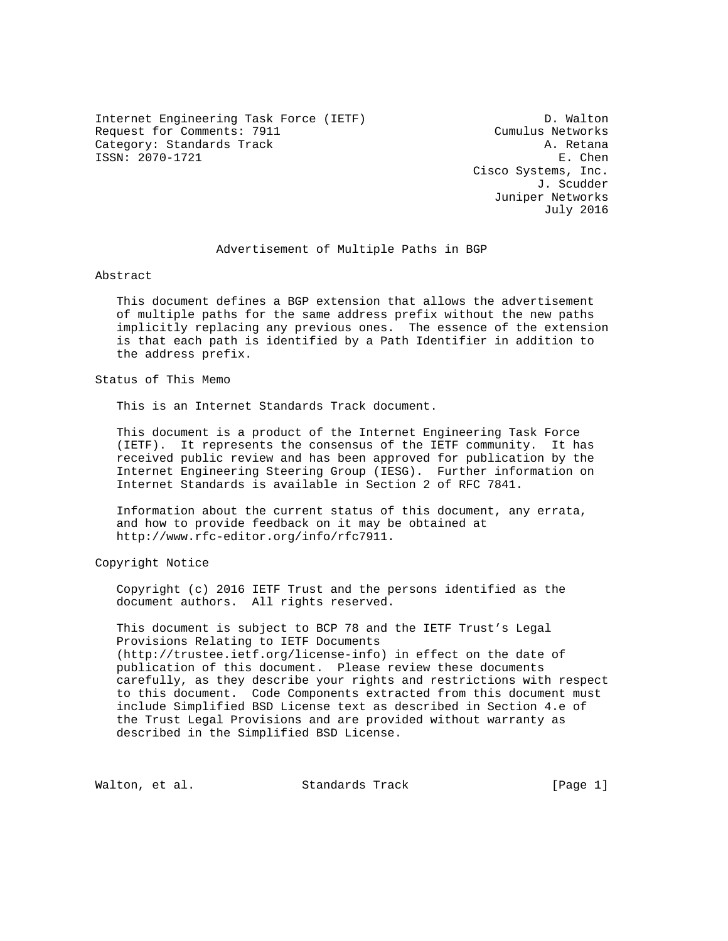Internet Engineering Task Force (IETF) D. Walton Request for Comments: 7911 Cumulus Networks Category: Standards Track A. Retana ISSN: 2070-1721 E. Chen

 Cisco Systems, Inc. J. Scudder Juniper Networks July 2016

# Advertisement of Multiple Paths in BGP

Abstract

 This document defines a BGP extension that allows the advertisement of multiple paths for the same address prefix without the new paths implicitly replacing any previous ones. The essence of the extension is that each path is identified by a Path Identifier in addition to the address prefix.

Status of This Memo

This is an Internet Standards Track document.

 This document is a product of the Internet Engineering Task Force (IETF). It represents the consensus of the IETF community. It has received public review and has been approved for publication by the Internet Engineering Steering Group (IESG). Further information on Internet Standards is available in Section 2 of RFC 7841.

 Information about the current status of this document, any errata, and how to provide feedback on it may be obtained at http://www.rfc-editor.org/info/rfc7911.

Copyright Notice

 Copyright (c) 2016 IETF Trust and the persons identified as the document authors. All rights reserved.

 This document is subject to BCP 78 and the IETF Trust's Legal Provisions Relating to IETF Documents (http://trustee.ietf.org/license-info) in effect on the date of publication of this document. Please review these documents carefully, as they describe your rights and restrictions with respect to this document. Code Components extracted from this document must include Simplified BSD License text as described in Section 4.e of the Trust Legal Provisions and are provided without warranty as described in the Simplified BSD License.

Walton, et al. Standards Track [Page 1]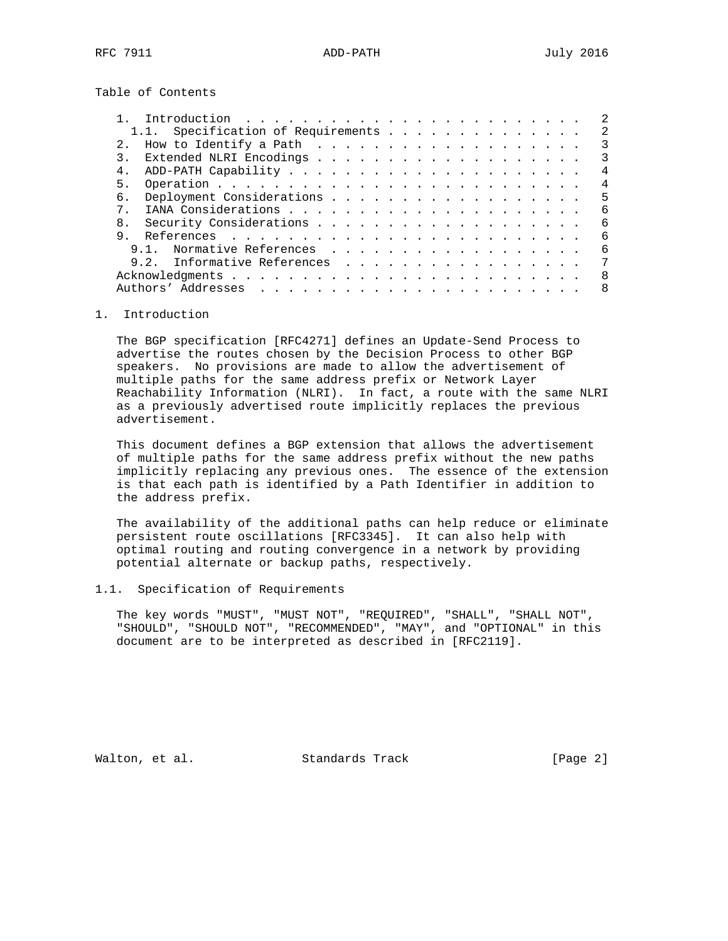Table of Contents

| 1.1. Specification of Requirements |  |  |  |  |  |  | $\mathcal{L}$ |
|------------------------------------|--|--|--|--|--|--|---------------|
| 2.1                                |  |  |  |  |  |  | 3             |
|                                    |  |  |  |  |  |  | 3             |
| 4.                                 |  |  |  |  |  |  | 4             |
| 5.                                 |  |  |  |  |  |  | 4             |
| б.                                 |  |  |  |  |  |  | 5             |
| $7\degree$                         |  |  |  |  |  |  | 6             |
| 8.                                 |  |  |  |  |  |  | 6             |
| 9                                  |  |  |  |  |  |  | 6             |
| Normative References<br>9.1        |  |  |  |  |  |  | 6             |
| Informative References<br>9 2      |  |  |  |  |  |  | 7             |
|                                    |  |  |  |  |  |  | -8            |
|                                    |  |  |  |  |  |  | 8             |
|                                    |  |  |  |  |  |  |               |

## 1. Introduction

 The BGP specification [RFC4271] defines an Update-Send Process to advertise the routes chosen by the Decision Process to other BGP speakers. No provisions are made to allow the advertisement of multiple paths for the same address prefix or Network Layer Reachability Information (NLRI). In fact, a route with the same NLRI as a previously advertised route implicitly replaces the previous advertisement.

 This document defines a BGP extension that allows the advertisement of multiple paths for the same address prefix without the new paths implicitly replacing any previous ones. The essence of the extension is that each path is identified by a Path Identifier in addition to the address prefix.

 The availability of the additional paths can help reduce or eliminate persistent route oscillations [RFC3345]. It can also help with optimal routing and routing convergence in a network by providing potential alternate or backup paths, respectively.

### 1.1. Specification of Requirements

 The key words "MUST", "MUST NOT", "REQUIRED", "SHALL", "SHALL NOT", "SHOULD", "SHOULD NOT", "RECOMMENDED", "MAY", and "OPTIONAL" in this document are to be interpreted as described in [RFC2119].

Walton, et al. Standards Track [Page 2]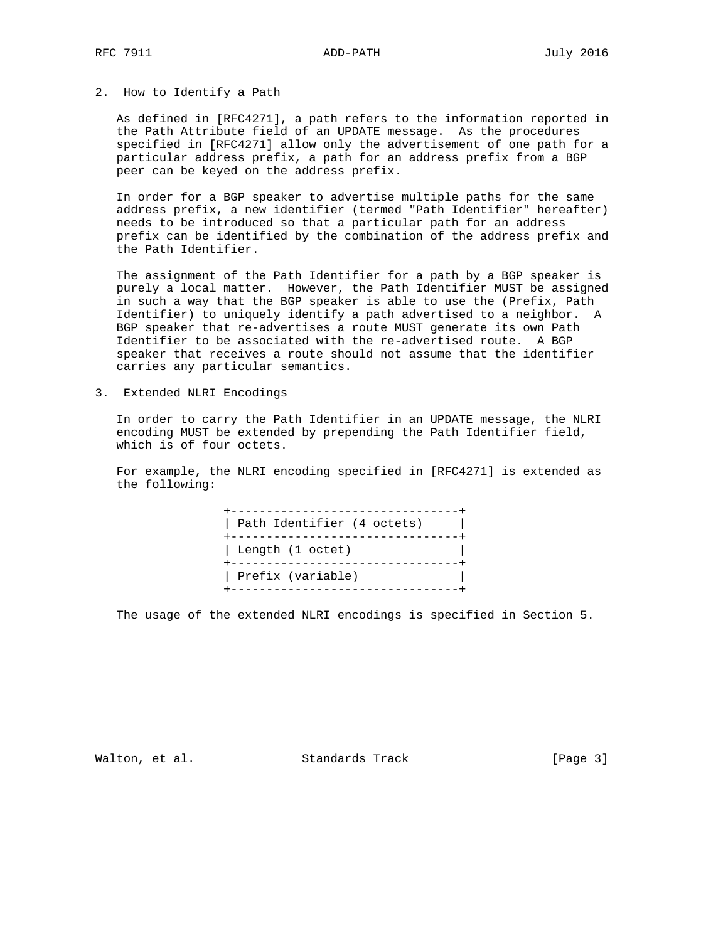### 2. How to Identify a Path

 As defined in [RFC4271], a path refers to the information reported in the Path Attribute field of an UPDATE message. As the procedures specified in [RFC4271] allow only the advertisement of one path for a particular address prefix, a path for an address prefix from a BGP peer can be keyed on the address prefix.

 In order for a BGP speaker to advertise multiple paths for the same address prefix, a new identifier (termed "Path Identifier" hereafter) needs to be introduced so that a particular path for an address prefix can be identified by the combination of the address prefix and the Path Identifier.

 The assignment of the Path Identifier for a path by a BGP speaker is purely a local matter. However, the Path Identifier MUST be assigned in such a way that the BGP speaker is able to use the (Prefix, Path Identifier) to uniquely identify a path advertised to a neighbor. A BGP speaker that re-advertises a route MUST generate its own Path Identifier to be associated with the re-advertised route. A BGP speaker that receives a route should not assume that the identifier carries any particular semantics.

3. Extended NLRI Encodings

 In order to carry the Path Identifier in an UPDATE message, the NLRI encoding MUST be extended by prepending the Path Identifier field, which is of four octets.

 For example, the NLRI encoding specified in [RFC4271] is extended as the following:

 +--------------------------------+ | Path Identifier (4 octets) | +--------------------------------+ | Length (1 octet) | +--------------------------------+ | Prefix (variable) | +--------------------------------+

The usage of the extended NLRI encodings is specified in Section 5.

Walton, et al. Standards Track [Page 3]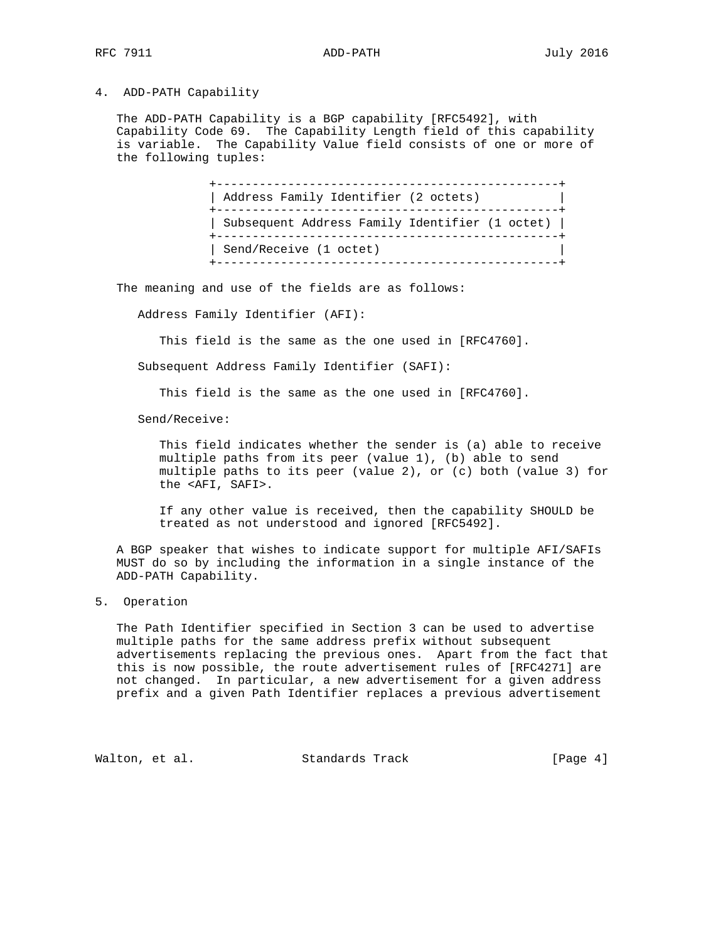#### 4. ADD-PATH Capability

 The ADD-PATH Capability is a BGP capability [RFC5492], with Capability Code 69. The Capability Length field of this capability is variable. The Capability Value field consists of one or more of the following tuples:

> +------------------------------------------------+ | Address Family Identifier (2 octets) | +------------------------------------------------+ | Subsequent Address Family Identifier (1 octet) | +------------------------------------------------+ | Send/Receive (1 octet) | +------------------------------------------------+

The meaning and use of the fields are as follows:

Address Family Identifier (AFI):

This field is the same as the one used in [RFC4760].

Subsequent Address Family Identifier (SAFI):

This field is the same as the one used in [RFC4760].

Send/Receive:

 This field indicates whether the sender is (a) able to receive multiple paths from its peer (value 1), (b) able to send multiple paths to its peer (value 2), or (c) both (value 3) for the <AFI, SAFI>.

 If any other value is received, then the capability SHOULD be treated as not understood and ignored [RFC5492].

 A BGP speaker that wishes to indicate support for multiple AFI/SAFIs MUST do so by including the information in a single instance of the ADD-PATH Capability.

5. Operation

 The Path Identifier specified in Section 3 can be used to advertise multiple paths for the same address prefix without subsequent advertisements replacing the previous ones. Apart from the fact that this is now possible, the route advertisement rules of [RFC4271] are not changed. In particular, a new advertisement for a given address prefix and a given Path Identifier replaces a previous advertisement

Walton, et al. Standards Track [Page 4]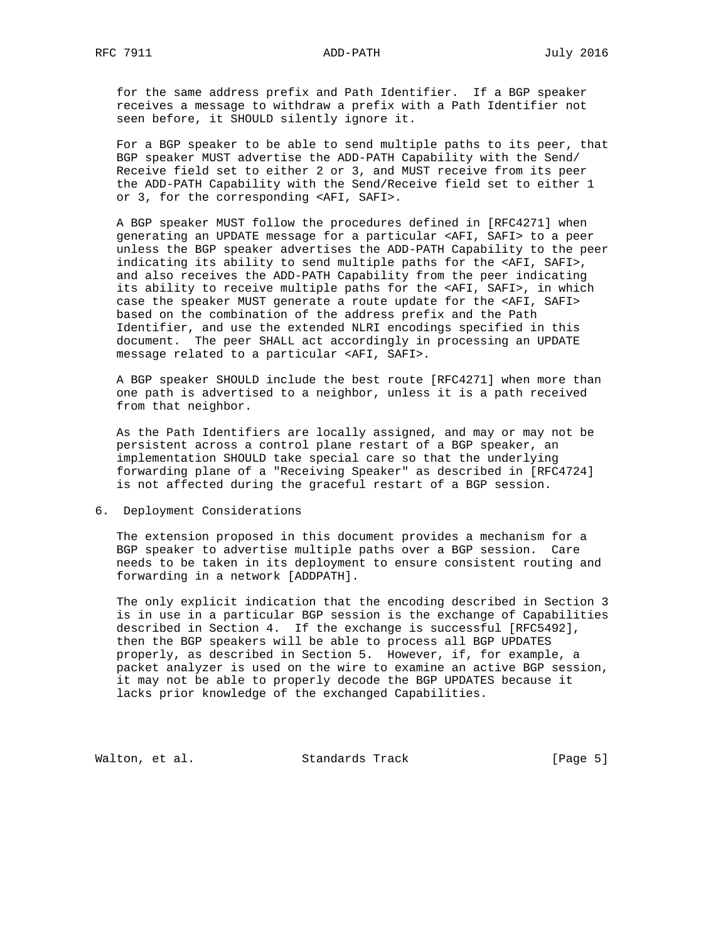RFC 7911 ADD-PATH July 2016

 for the same address prefix and Path Identifier. If a BGP speaker receives a message to withdraw a prefix with a Path Identifier not seen before, it SHOULD silently ignore it.

 For a BGP speaker to be able to send multiple paths to its peer, that BGP speaker MUST advertise the ADD-PATH Capability with the Send/ Receive field set to either 2 or 3, and MUST receive from its peer the ADD-PATH Capability with the Send/Receive field set to either 1 or 3, for the corresponding <AFI, SAFI>.

 A BGP speaker MUST follow the procedures defined in [RFC4271] when generating an UPDATE message for a particular <AFI, SAFI> to a peer unless the BGP speaker advertises the ADD-PATH Capability to the peer indicating its ability to send multiple paths for the <AFI, SAFI>, and also receives the ADD-PATH Capability from the peer indicating its ability to receive multiple paths for the <AFI, SAFI>, in which case the speaker MUST generate a route update for the <AFI, SAFI> based on the combination of the address prefix and the Path Identifier, and use the extended NLRI encodings specified in this document. The peer SHALL act accordingly in processing an UPDATE message related to a particular <AFI, SAFI>.

 A BGP speaker SHOULD include the best route [RFC4271] when more than one path is advertised to a neighbor, unless it is a path received from that neighbor.

 As the Path Identifiers are locally assigned, and may or may not be persistent across a control plane restart of a BGP speaker, an implementation SHOULD take special care so that the underlying forwarding plane of a "Receiving Speaker" as described in [RFC4724] is not affected during the graceful restart of a BGP session.

6. Deployment Considerations

 The extension proposed in this document provides a mechanism for a BGP speaker to advertise multiple paths over a BGP session. Care needs to be taken in its deployment to ensure consistent routing and forwarding in a network [ADDPATH].

 The only explicit indication that the encoding described in Section 3 is in use in a particular BGP session is the exchange of Capabilities described in Section 4. If the exchange is successful [RFC5492], then the BGP speakers will be able to process all BGP UPDATES properly, as described in Section 5. However, if, for example, a packet analyzer is used on the wire to examine an active BGP session, it may not be able to properly decode the BGP UPDATES because it lacks prior knowledge of the exchanged Capabilities.

Walton, et al. Standards Track [Page 5]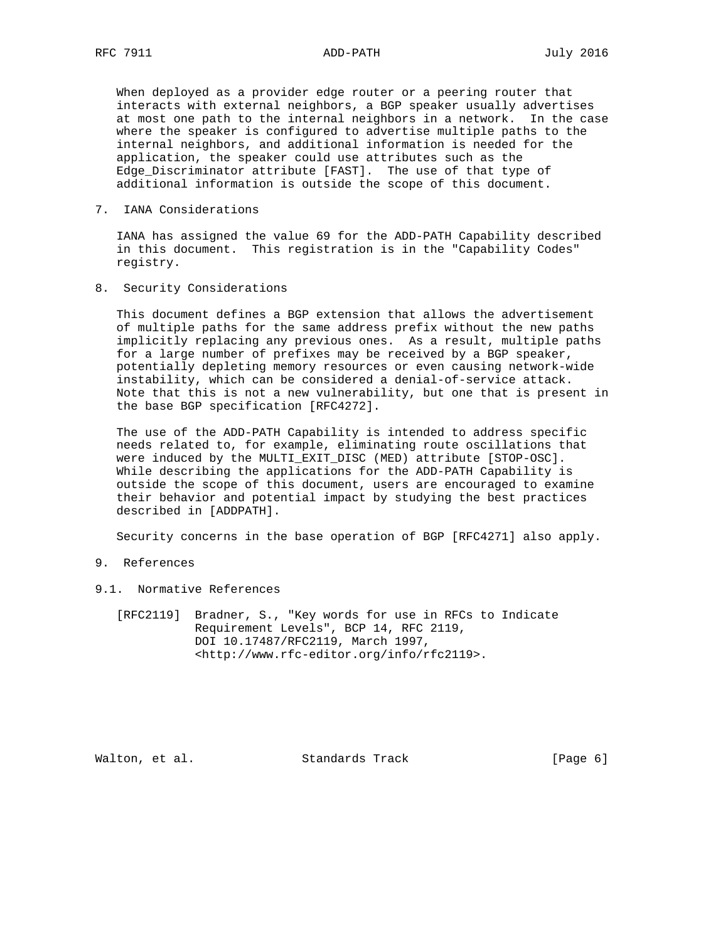When deployed as a provider edge router or a peering router that interacts with external neighbors, a BGP speaker usually advertises at most one path to the internal neighbors in a network. In the case where the speaker is configured to advertise multiple paths to the internal neighbors, and additional information is needed for the application, the speaker could use attributes such as the Edge\_Discriminator attribute [FAST]. The use of that type of additional information is outside the scope of this document.

7. IANA Considerations

 IANA has assigned the value 69 for the ADD-PATH Capability described in this document. This registration is in the "Capability Codes" registry.

8. Security Considerations

 This document defines a BGP extension that allows the advertisement of multiple paths for the same address prefix without the new paths implicitly replacing any previous ones. As a result, multiple paths for a large number of prefixes may be received by a BGP speaker, potentially depleting memory resources or even causing network-wide instability, which can be considered a denial-of-service attack. Note that this is not a new vulnerability, but one that is present in the base BGP specification [RFC4272].

 The use of the ADD-PATH Capability is intended to address specific needs related to, for example, eliminating route oscillations that were induced by the MULTI\_EXIT\_DISC (MED) attribute [STOP-OSC]. While describing the applications for the ADD-PATH Capability is outside the scope of this document, users are encouraged to examine their behavior and potential impact by studying the best practices described in [ADDPATH].

Security concerns in the base operation of BGP [RFC4271] also apply.

- 9. References
- 9.1. Normative References
	- [RFC2119] Bradner, S., "Key words for use in RFCs to Indicate Requirement Levels", BCP 14, RFC 2119, DOI 10.17487/RFC2119, March 1997, <http://www.rfc-editor.org/info/rfc2119>.

Walton, et al. Standards Track [Page 6]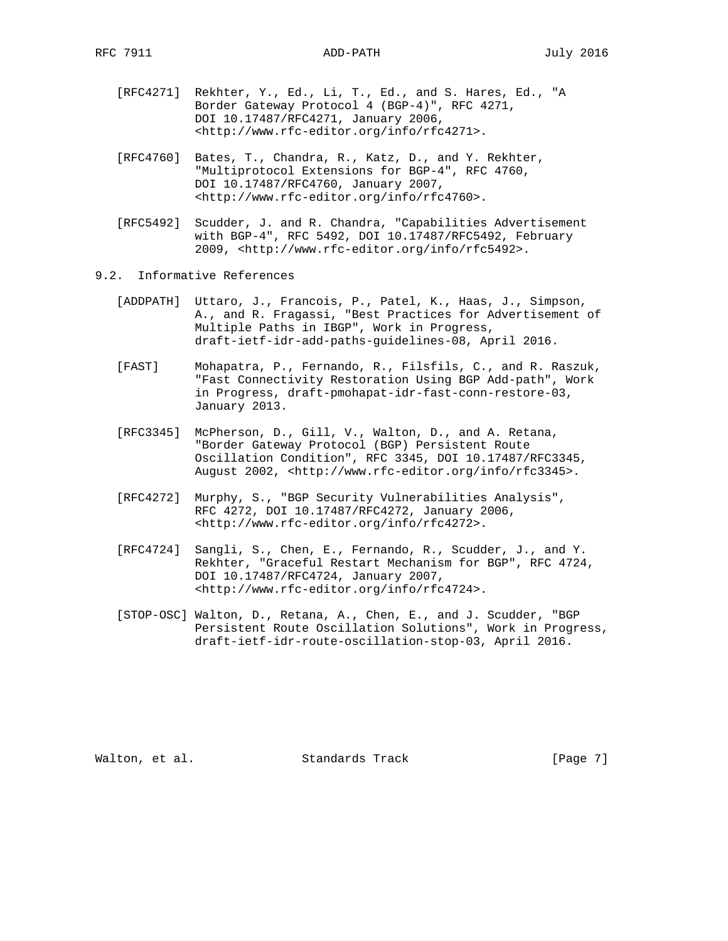- [RFC4271] Rekhter, Y., Ed., Li, T., Ed., and S. Hares, Ed., "A Border Gateway Protocol 4 (BGP-4)", RFC 4271, DOI 10.17487/RFC4271, January 2006, <http://www.rfc-editor.org/info/rfc4271>.
- [RFC4760] Bates, T., Chandra, R., Katz, D., and Y. Rekhter, "Multiprotocol Extensions for BGP-4", RFC 4760, DOI 10.17487/RFC4760, January 2007, <http://www.rfc-editor.org/info/rfc4760>.
- [RFC5492] Scudder, J. and R. Chandra, "Capabilities Advertisement with BGP-4", RFC 5492, DOI 10.17487/RFC5492, February 2009, <http://www.rfc-editor.org/info/rfc5492>.
- 9.2. Informative References
	- [ADDPATH] Uttaro, J., Francois, P., Patel, K., Haas, J., Simpson, A., and R. Fragassi, "Best Practices for Advertisement of Multiple Paths in IBGP", Work in Progress, draft-ietf-idr-add-paths-guidelines-08, April 2016.
	- [FAST] Mohapatra, P., Fernando, R., Filsfils, C., and R. Raszuk, "Fast Connectivity Restoration Using BGP Add-path", Work in Progress, draft-pmohapat-idr-fast-conn-restore-03, January 2013.
	- [RFC3345] McPherson, D., Gill, V., Walton, D., and A. Retana, "Border Gateway Protocol (BGP) Persistent Route Oscillation Condition", RFC 3345, DOI 10.17487/RFC3345, August 2002, <http://www.rfc-editor.org/info/rfc3345>.
	- [RFC4272] Murphy, S., "BGP Security Vulnerabilities Analysis", RFC 4272, DOI 10.17487/RFC4272, January 2006, <http://www.rfc-editor.org/info/rfc4272>.
	- [RFC4724] Sangli, S., Chen, E., Fernando, R., Scudder, J., and Y. Rekhter, "Graceful Restart Mechanism for BGP", RFC 4724, DOI 10.17487/RFC4724, January 2007, <http://www.rfc-editor.org/info/rfc4724>.
	- [STOP-OSC] Walton, D., Retana, A., Chen, E., and J. Scudder, "BGP Persistent Route Oscillation Solutions", Work in Progress, draft-ietf-idr-route-oscillation-stop-03, April 2016.

Walton, et al. Standards Track [Page 7]